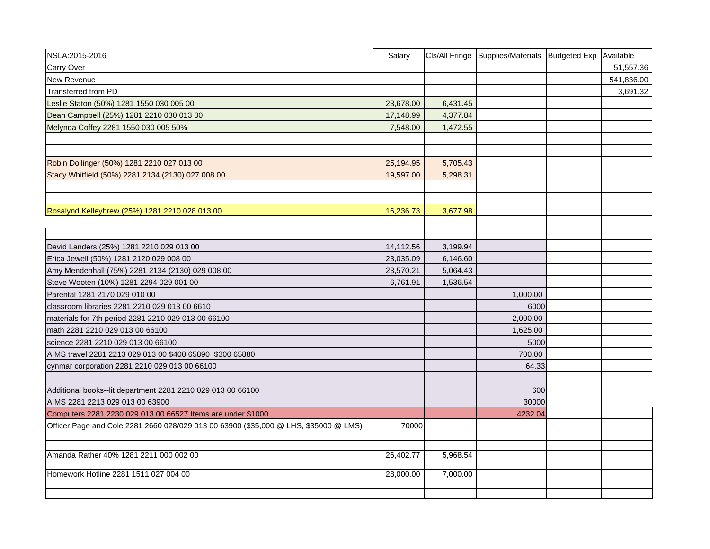| NSLA:2015-2016                                                                       | Salary    |          | Cls/All Fringe Supplies/Materials Budgeted Exp | Available  |
|--------------------------------------------------------------------------------------|-----------|----------|------------------------------------------------|------------|
| Carry Over                                                                           |           |          |                                                | 51,557.36  |
| New Revenue                                                                          |           |          |                                                | 541,836.00 |
| <b>Transferred from PD</b>                                                           |           |          |                                                | 3,691.32   |
| Leslie Staton (50%) 1281 1550 030 005 00                                             | 23,678.00 | 6,431.45 |                                                |            |
| Dean Campbell (25%) 1281 2210 030 013 00                                             | 17,148.99 | 4,377.84 |                                                |            |
| Melynda Coffey 2281 1550 030 005 50%                                                 | 7,548.00  | 1,472.55 |                                                |            |
| Robin Dollinger (50%) 1281 2210 027 013 00                                           | 25,194.95 | 5,705.43 |                                                |            |
| Stacy Whitfield (50%) 2281 2134 (2130) 027 008 00                                    | 19,597.00 | 5,298.31 |                                                |            |
| Rosalynd Kelleybrew (25%) 1281 2210 028 013 00                                       | 16,236.73 | 3,677.98 |                                                |            |
|                                                                                      |           |          |                                                |            |
| David Landers (25%) 1281 2210 029 013 00                                             | 14,112.56 | 3,199.94 |                                                |            |
| Erica Jewell (50%) 1281 2120 029 008 00                                              | 23,035.09 | 6,146.60 |                                                |            |
| Amy Mendenhall (75%) 2281 2134 (2130) 029 008 00                                     | 23,570.21 | 5,064.43 |                                                |            |
| Steve Wooten (10%) 1281 2294 029 001 00                                              | 6,761.91  | 1,536.54 |                                                |            |
| Parental 1281 2170 029 010 00                                                        |           |          | 1,000.00                                       |            |
| classroom libraries 2281 2210 029 013 00 6610                                        |           |          | 6000                                           |            |
| materials for 7th period 2281 2210 029 013 00 66100                                  |           |          | 2,000.00                                       |            |
| math 2281 2210 029 013 00 66100                                                      |           |          | 1,625.00                                       |            |
| science 2281 2210 029 013 00 66100                                                   |           |          | 5000                                           |            |
| AIMS travel 2281 2213 029 013 00 \$400 65890 \$300 65880                             |           |          | 700.00                                         |            |
| cynmar corporation 2281 2210 029 013 00 66100                                        |           |          | 64.33                                          |            |
|                                                                                      |           |          |                                                |            |
| Additional books--lit department 2281 2210 029 013 00 66100                          |           |          | 600                                            |            |
| AIMS 2281 2213 029 013 00 63900                                                      |           |          | 30000                                          |            |
| Computers 2281 2230 029 013 00 66527 Items are under \$1000                          |           |          | 4232.04                                        |            |
| Officer Page and Cole 2281 2660 028/029 013 00 63900 (\$35,000 @ LHS, \$35000 @ LMS) | 70000     |          |                                                |            |
|                                                                                      |           |          |                                                |            |
| Amanda Rather 40% 1281 2211 000 002 00                                               | 26,402.77 | 5,968.54 |                                                |            |
|                                                                                      |           |          |                                                |            |
| Homework Hotline 2281 1511 027 004 00                                                | 28,000.00 | 7,000.00 |                                                |            |
|                                                                                      |           |          |                                                |            |
|                                                                                      |           |          |                                                |            |